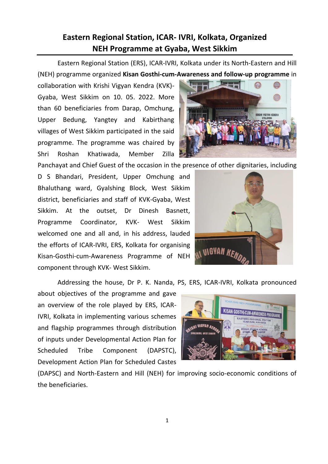**Eastern Regional Station, ICAR- IVRI, Kolkata, Organized** 

**NEH Programme at Gyaba, West Sikkim** 

collaboration with Krishi Vigyan Kendra (KVK)- Gyaba, West Sikkim on 10. 05. 2022. More than 60 beneficiaries from Darap, Omchung, Upper Bedung, Yangtey and Kabirthang villages of West Sikkim participated in the said programme. The programme was chaired by Shri Roshan Khatiwada, Member Zilla

Panchayat and Chief Guest of the occasion in the presence of other dignitaries, including

D S Bhandari, President, Upper Omchung and Bhaluthang ward, Gyalshing Block, West Sikkim district, beneficiaries and staff of KVK-Gyaba, West Sikkim. At the outset, Dr Dinesh Basnett, Programme Coordinator, KVK- West Sikkim welcomed one and all and, in his address, lauded the efforts of ICAR-IVRI, ERS, Kolkata for organising Kisan-Gosthi-cum-Awareness Programme of NEH component through KVK- West Sikkim.

Addressing the house, Dr P. K. Nanda, PS, ERS, ICAR-IVRI, Kolkata pronounced

about objectives of the programme and gave an overview of the role played by ERS, ICAR-IVRI, Kolkata in implementing various schemes and flagship programmes through distribution of inputs under Developmental Action Plan for Scheduled Tribe Component (DAPSTC), Development Action Plan for Scheduled Castes

(DAPSC) and North-Eastern and Hill (NEH) for improving socio-economic conditions of the beneficiaries.







Eastern Regional Station (ERS), ICAR-IVRI, Kolkata under its North-Eastern and Hill